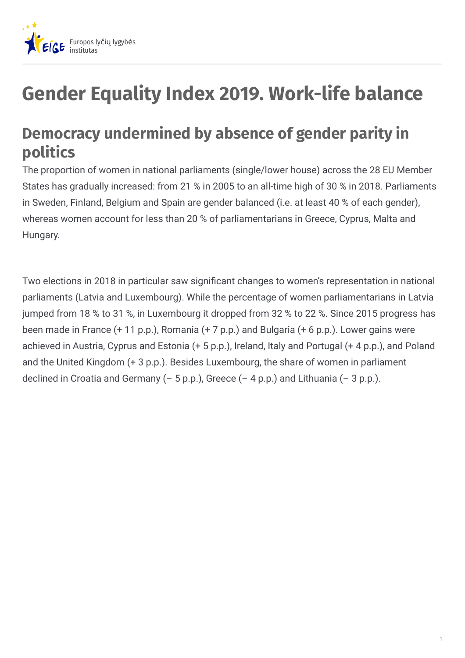

## **Gender Equality Index 2019. Work-life balance**

## **Democracy undermined by absence of gender parity in politics**

The proportion of women in national parliaments (single/lower house) across the 28 EU Member States has gradually increased: from 21 % in 2005 to an all-time high of 30 % in 2018. Parliaments in Sweden, Finland, Belgium and Spain are gender balanced (i.e. at least 40 % of each gender), whereas women account for less than 20 % of parliamentarians in Greece, Cyprus, Malta and Hungary.

Two elections in 2018 in particular saw significant changes to women's representation in national parliaments (Latvia and Luxembourg). While the percentage of women parliamentarians in Latvia jumped from 18 % to 31 %, in Luxembourg it dropped from 32 % to 22 %. Since 2015 progress has been made in France (+ 11 p.p.), Romania (+ 7 p.p.) and Bulgaria (+ 6 p.p.). Lower gains were achieved in Austria, Cyprus and Estonia (+ 5 p.p.), Ireland, Italy and Portugal (+ 4 p.p.), and Poland and the United Kingdom (+ 3 p.p.). Besides Luxembourg, the share of women in parliament declined in Croatia and Germany  $(-5 p.p.)$ , Greece  $(-4 p.p.)$  and Lithuania  $(-3 p.p.).$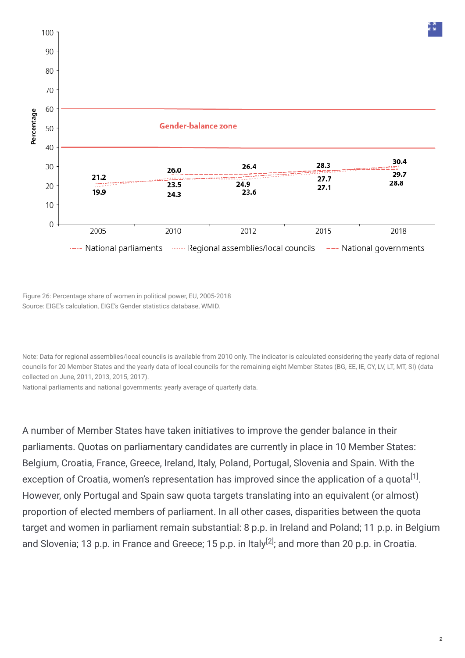

Figure 26: Percentage share of women in political power, EU, 2005-2018 Source: EIGE's calculation, EIGE's Gender statistics database, WMID.

Note: Data for regional assemblies/local councils is available from 2010 only. The indicator is calculated considering the yearly data of regional councils for 20 Member States and the yearly data of local councils for the remaining eight Member States (BG, EE, IE, CY, LV, LT, MT, SI) (data collected on June, 2011, 2013, 2015, 2017).

National parliaments and national governments: yearly average of quarterly data.

A number of Member States have taken initiatives to improve the gender balance in their parliaments. Quotas on parliamentary candidates are currently in place in 10 Member States: Belgium, Croatia, France, Greece, Ireland, Italy, Poland, Portugal, Slovenia and Spain. With the exception of Croatia, women's representation has improved since the application of a quota $^{[1]}$ . However, only Portugal and Spain saw quota targets translating into an equivalent (or almost) proportion of elected members of parliament. In all other cases, disparities between the quota target and women in parliament remain substantial: 8 p.p. in Ireland and Poland; 11 p.p. in Belgium and Slovenia; 13 p.p. in France and Greece; 15 p.p. in Italy<sup>[2]</sup>; and more than 20 p.p. in Croatia.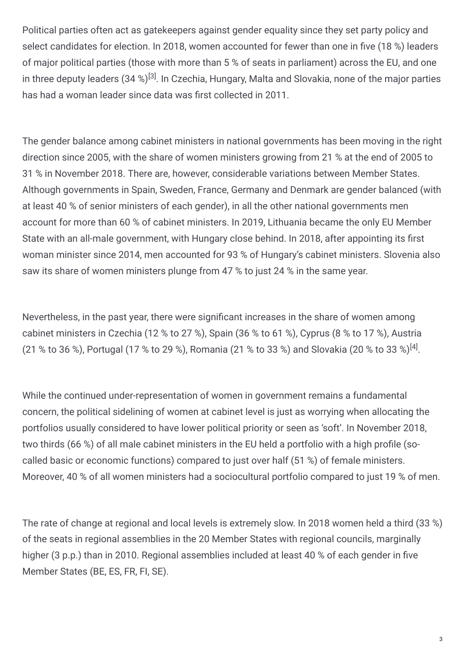Political parties often act as gatekeepers against gender equality since they set party policy and select candidates for election. In 2018, women accounted for fewer than one in five (18 %) leaders of major political parties (those with more than 5 % of seats in parliament) across the EU, and one in three deputy leaders (34 %) $^{[3]}$ . In Czechia, Hungary, Malta and Slovakia, none of the major parties has had a woman leader since data was first collected in 2011.

The gender balance among cabinet ministers in national governments has been moving in the right direction since 2005, with the share of women ministers growing from 21 % at the end of 2005 to 31 % in November 2018. There are, however, considerable variations between Member States. Although governments in Spain, Sweden, France, Germany and Denmark are gender balanced (with at least 40 % of senior ministers of each gender), in all the other national governments men account for more than 60 % of cabinet ministers. In 2019, Lithuania became the only EU Member State with an all-male government, with Hungary close behind. In 2018, after appointing its first woman minister since 2014, men accounted for 93 % of Hungary's cabinet ministers. Slovenia also saw its share of women ministers plunge from 47 % to just 24 % in the same year.

Nevertheless, in the past year, there were significant increases in the share of women among cabinet ministers in Czechia (12 % to 27 %), Spain (36 % to 61 %), Cyprus (8 % to 17 %), Austria (21 % to 36 %), Portugal (17 % to 29 %), Romania (21 % to 33 %) and Slovakia (20 % to 33 %)<sup>[4]</sup>.

While the continued under-representation of women in government remains a fundamental concern, the political sidelining of women at cabinet level is just as worrying when allocating the portfolios usually considered to have lower political priority or seen as 'soft'. In November 2018, two thirds (66 %) of all male cabinet ministers in the EU held a portfolio with a high profile (socalled basic or economic functions) compared to just over half (51 %) of female ministers. Moreover, 40 % of all women ministers had a sociocultural portfolio compared to just 19 % of men.

The rate of change at regional and local levels is extremely slow. In 2018 women held a third (33 %) of the seats in regional assemblies in the 20 Member States with regional councils, marginally higher (3 p.p.) than in 2010. Regional assemblies included at least 40 % of each gender in five Member States (BE, ES, FR, FI, SE).